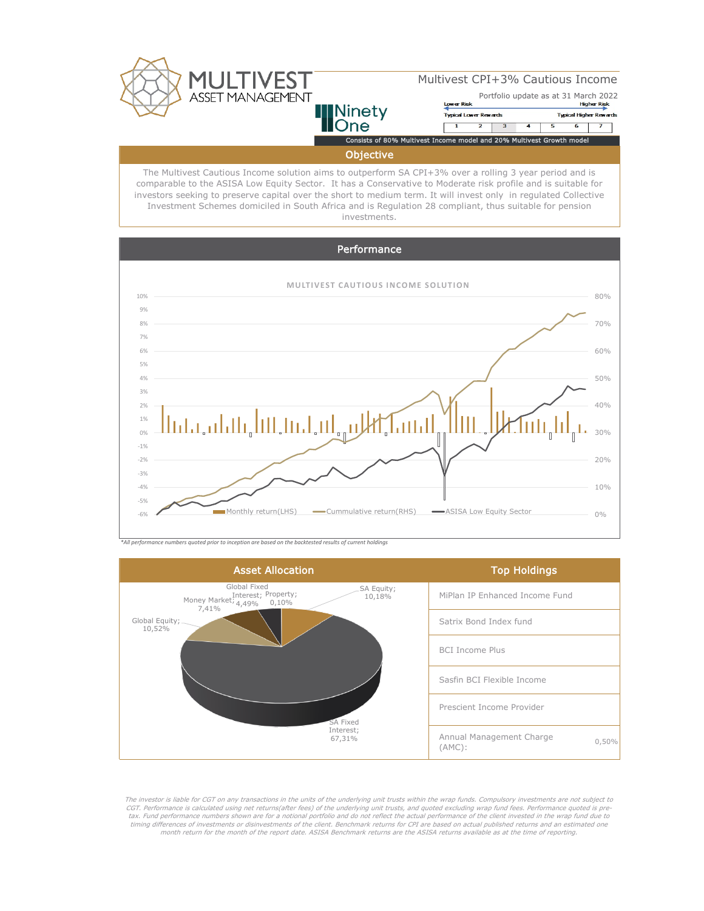

The Multivest Cautious Income solution aims to outperform SA CPI+3% over a rolling 3 year period and is comparable to the ASISA Low Equity Sector. It has a Conservative to Moderate risk profile and is suitable for investors seeking to preserve capital over the short to medium term. It will invest only in regulated Collective Investment Schemes domiciled in South Africa and is Regulation 28 compliant, thus suitable for pension investments.





*\*All performance numbers quoted prior to inception are based on the backtested results of current holdings*



The investor is liable for CGT on any transactions in the units of the underlying unit trusts within the wrap funds. Compulsory investments are not subject to CGT. Performance is calculated using net returns(after fees) of the underlying unit trusts, and quoted excluding wrap fund fees. Performance quoted is pretax. Fund performance numbers shown are for a notional portfolio and do not reflect the actual performance of the client invested in the wrap fund due to timing differences of investments or disinvestments of the client. Benchmark returns for CPI are based on actual published returns and an estimated one month return for the month of the report date. ASISA Benchmark returns are the ASISA returns available as at the time of reporting.